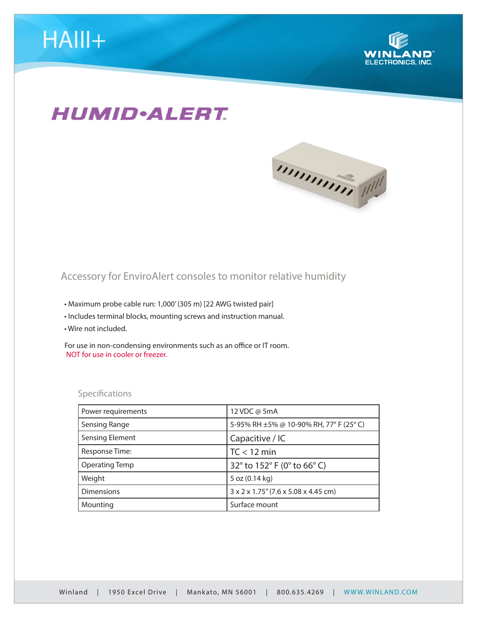

## **HUMID**·ALERT.



## Accessory for EnviroAlert consoles to monitor relative humidity

- Maximum probe cable run: 1,000' (305 m) [22 AWG twisted pair]
- Includes terminal blocks, mounting screws and instruction manual.
- Wire not included.

For use in non-condensing environments such as an office or IT room. NOT for use in cooler or freezer.

## Specifications

| Power requirements     | 12 VDC @ 5mA                                      |
|------------------------|---------------------------------------------------|
| Sensing Range          | 5-95% RH ±5% @ 10-90% RH, 77° F (25° C)           |
| <b>Sensing Element</b> | Capacitive / IC                                   |
| Response Time:         | $TC < 12$ min                                     |
| <b>Operating Temp</b>  | 32° to 152° F (0° to 66° C)                       |
| Weight                 | 5 oz (0.14 kg)                                    |
| <b>Dimensions</b>      | $3 \times 2 \times 1.75$ " (7.6 x 5.08 x 4.45 cm) |
| Mounting               | Surface mount                                     |